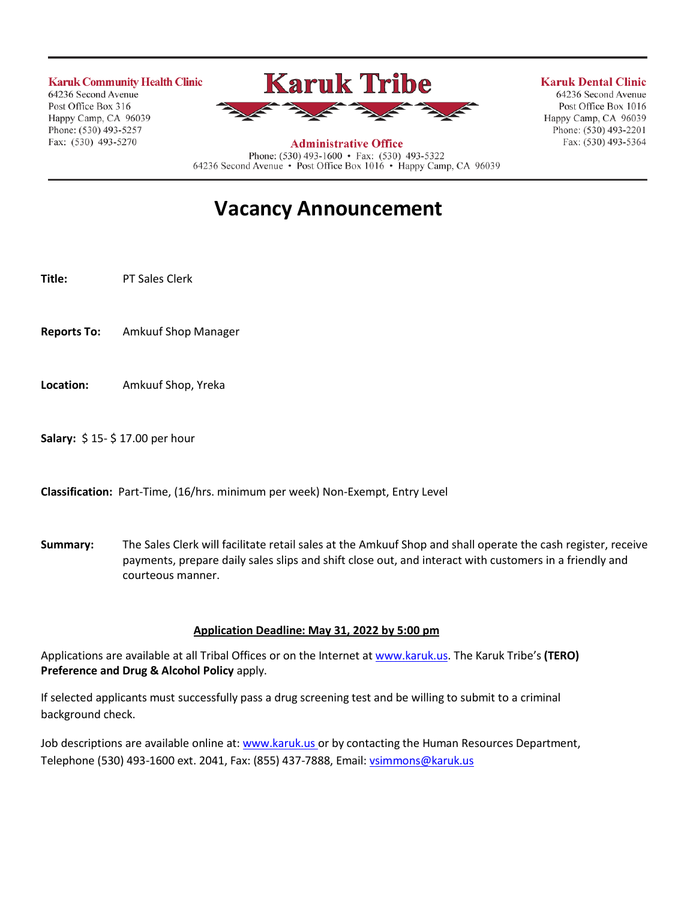**Karuk Community Health Clinic** 

64236 Second Avenue Post Office Box 316 Happy Camp, CA 96039 Phone: (530) 493-5257 Fax: (530) 493-5270



**Administrative Office** 

**Karuk Dental Clinic** 

64236 Second Avenue Post Office Box 1016 Happy Camp, CA 96039 Phone: (530) 493-2201 Fax: (530) 493-5364

Phone: (530) 493-1600 • Fax: (530) 493-5322 64236 Second Avenue · Post Office Box 1016 · Happy Camp, CA 96039

# **Vacancy Announcement**

**Title:** PT Sales Clerk

- **Reports To:** Amkuuf Shop Manager
- **Location:** Amkuuf Shop, Yreka
- **Salary:** \$ 15- \$ 17.00 per hour

**Classification:** Part-Time, (16/hrs. minimum per week) Non-Exempt, Entry Level

**Summary:** The Sales Clerk will facilitate retail sales at the Amkuuf Shop and shall operate the cash register, receive payments, prepare daily sales slips and shift close out, and interact with customers in a friendly and courteous manner.

#### **Application Deadline: May 31, 2022 by 5:00 pm**

Applications are available at all Tribal Offices or on the Internet a[t www.karuk.us.](http://www.karuk.us/) The Karuk Tribe's **(TERO) Preference and Drug & Alcohol Policy** apply.

If selected applicants must successfully pass a drug screening test and be willing to submit to a criminal background check.

Job descriptions are available online at[: www.karuk.us](http://www.karuk.us/) or by contacting the Human Resources Department, Telephone (530) 493-1600 ext. 2041, Fax: (855) 437-7888, Email: [vsimmons@karuk.us](mailto:vsimmons@karuk.us)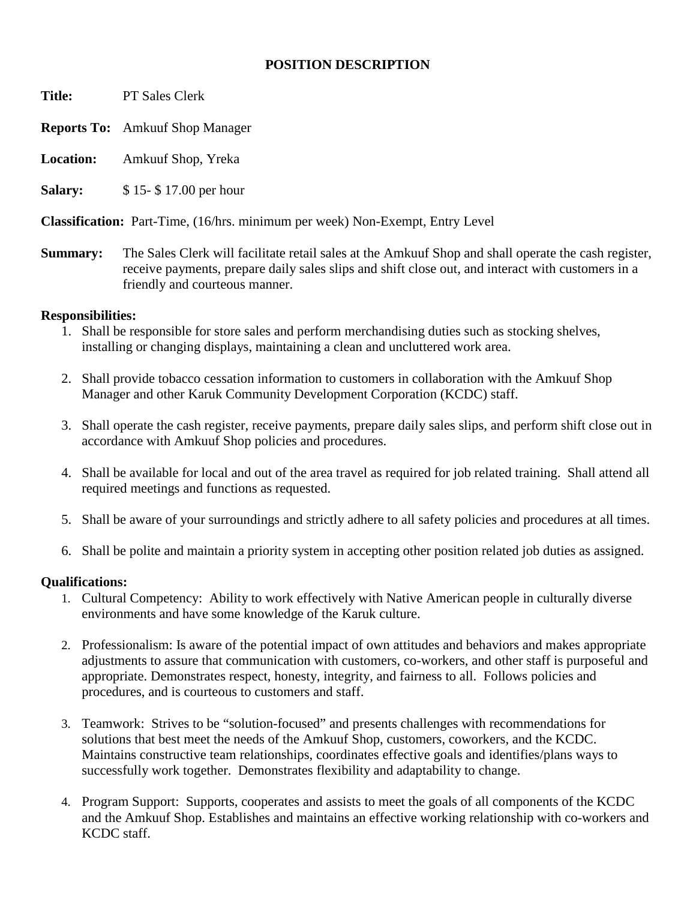### **POSITION DESCRIPTION**

**Title:** PT Sales Clerk

**Reports To:** Amkuuf Shop Manager

**Location:** Amkuuf Shop, Yreka

**Salary:** \$15-\$17.00 per hour

**Classification:** Part-Time, (16/hrs. minimum per week) Non-Exempt, Entry Level

**Summary:** The Sales Clerk will facilitate retail sales at the Amkuuf Shop and shall operate the cash register, receive payments, prepare daily sales slips and shift close out, and interact with customers in a friendly and courteous manner.

# **Responsibilities:**

- 1. Shall be responsible for store sales and perform merchandising duties such as stocking shelves, installing or changing displays, maintaining a clean and uncluttered work area.
- 2. Shall provide tobacco cessation information to customers in collaboration with the Amkuuf Shop Manager and other Karuk Community Development Corporation (KCDC) staff.
- 3. Shall operate the cash register, receive payments, prepare daily sales slips, and perform shift close out in accordance with Amkuuf Shop policies and procedures.
- 4. Shall be available for local and out of the area travel as required for job related training. Shall attend all required meetings and functions as requested.
- 5. Shall be aware of your surroundings and strictly adhere to all safety policies and procedures at all times.
- 6. Shall be polite and maintain a priority system in accepting other position related job duties as assigned.

# **Qualifications:**

- 1. Cultural Competency: Ability to work effectively with Native American people in culturally diverse environments and have some knowledge of the Karuk culture.
- 2. Professionalism: Is aware of the potential impact of own attitudes and behaviors and makes appropriate adjustments to assure that communication with customers, co-workers, and other staff is purposeful and appropriate. Demonstrates respect, honesty, integrity, and fairness to all. Follows policies and procedures, and is courteous to customers and staff.
- 3. Teamwork: Strives to be "solution-focused" and presents challenges with recommendations for solutions that best meet the needs of the Amkuuf Shop, customers, coworkers, and the KCDC. Maintains constructive team relationships, coordinates effective goals and identifies/plans ways to successfully work together. Demonstrates flexibility and adaptability to change.
- 4. Program Support: Supports, cooperates and assists to meet the goals of all components of the KCDC and the Amkuuf Shop. Establishes and maintains an effective working relationship with co-workers and KCDC staff.